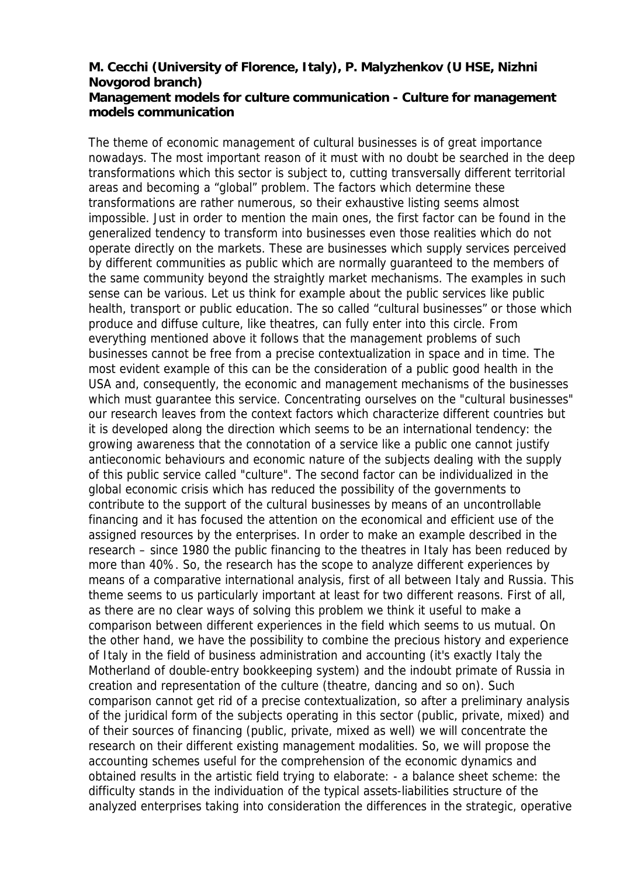## **M. Cecchi (University of Florence, Italy), P. Malyzhenkov (U HSE, Nizhni Novgorod branch) Management models for culture communication - Culture for management models communication**

The theme of economic management of cultural businesses is of great importance nowadays. The most important reason of it must with no doubt be searched in the deep transformations which this sector is subject to, cutting transversally different territorial areas and becoming a "global" problem. The factors which determine these transformations are rather numerous, so their exhaustive listing seems almost impossible. Just in order to mention the main ones, the first factor can be found in the generalized tendency to transform into businesses even those realities which do not operate directly on the markets. These are businesses which supply services perceived by different communities as public which are normally guaranteed to the members of the same community beyond the straightly market mechanisms. The examples in such sense can be various. Let us think for example about the public services like public health, transport or public education. The so called "cultural businesses" or those which produce and diffuse culture, like theatres, can fully enter into this circle. From everything mentioned above it follows that the management problems of such businesses cannot be free from a precise contextualization in space and in time. The most evident example of this can be the consideration of a public good health in the USA and, consequently, the economic and management mechanisms of the businesses which must guarantee this service. Concentrating ourselves on the "cultural businesses" our research leaves from the context factors which characterize different countries but it is developed along the direction which seems to be an international tendency: the growing awareness that the connotation of a service like a public one cannot justify antieconomic behaviours and economic nature of the subjects dealing with the supply of this public service called "culture". The second factor can be individualized in the global economic crisis which has reduced the possibility of the governments to contribute to the support of the cultural businesses by means of an uncontrollable financing and it has focused the attention on the economical and efficient use of the assigned resources by the enterprises. In order to make an example described in the research – since 1980 the public financing to the theatres in Italy has been reduced by more than 40%. So, the research has the scope to analyze different experiences by means of a comparative international analysis, first of all between Italy and Russia. This theme seems to us particularly important at least for two different reasons. First of all, as there are no clear ways of solving this problem we think it useful to make a comparison between different experiences in the field which seems to us mutual. On the other hand, we have the possibility to combine the precious history and experience of Italy in the field of business administration and accounting (it's exactly Italy the Motherland of double-entry bookkeeping system) and the indoubt primate of Russia in creation and representation of the culture (theatre, dancing and so on). Such comparison cannot get rid of a precise contextualization, so after a preliminary analysis of the juridical form of the subjects operating in this sector (public, private, mixed) and of their sources of financing (public, private, mixed as well) we will concentrate the research on their different existing management modalities. So, we will propose the accounting schemes useful for the comprehension of the economic dynamics and obtained results in the artistic field trying to elaborate: - a balance sheet scheme: the difficulty stands in the individuation of the typical assets-liabilities structure of the analyzed enterprises taking into consideration the differences in the strategic, operative